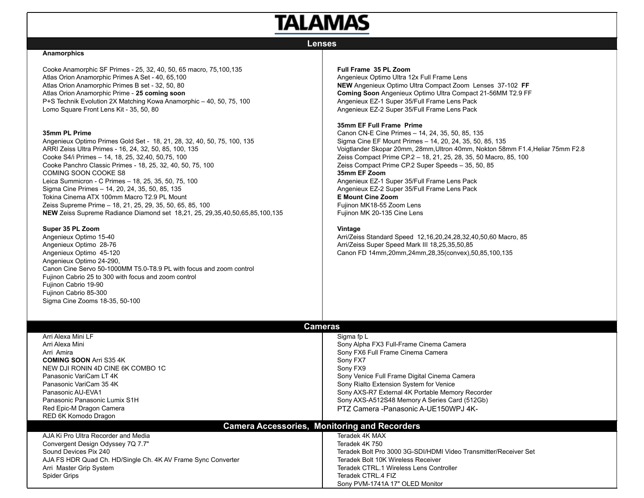# **TALAMAS**

# **Lenses**

### **Anamorphics**

Cooke Anamorphic SF Primes - 25, 32, 40, 50, 65 macro, 75,100,135 Atlas Orion Anamorphic Primes A Set - 40, 65,100 Atlas Orion Anamorphic Primes B set - 32, 50, 80 Atlas Orion Anamorphic Prime - **25 coming soon** P+S Technik Evolution 2X Matching Kowa Anamorphic – 40, 50, 75, 100 Lomo Square Front Lens Kit - 35, 50, 80

#### **35mm PL Prime**

Angenieux Optimo Primes Gold Set - 18, 21, 28, 32, 40, 50, 75, 100, 135 ARRI Zeiss Ultra Primes - 16, 24, 32, 50, 85, 100, 135 Cooke S4/i Primes – 14, 18, 25, 32,40, 50,75, 100 Cooke Panchro Classic Primes - 18, 25, 32, 40, 50, 75, 100 COMING SOON COOKE S8 Leica Summicron - C Primes – 18, 25, 35, 50, 75, 100 Sigma Cine Primes – 14, 20, 24, 35, 50, 85, 135 Tokina Cinema ATX 100mm Macro T2.9 PL Mount Zeiss Supreme Prime – 18, 21, 25, 29, 35, 50, 65, 85, 100 **NEW** Zeiss Supreme Radiance Diamond set 18,21, 25, 29,35,40,50,65,85,100,135

#### **Super 35 PL Zoom**

Angenieux Optimo 15-40 Angenieux Optimo 28-76 Angenieux Optimo 45-120 Angenieux Optimo 24-290, Canon Cine Servo 50-1000MM T5.0-T8.9 PL with focus and zoom control Fujinon Cabrio 25 to 300 with focus and zoom control Fujinon Cabrio 19-90 Fujinon Cabrio 85-300 Sigma Cine Zooms 18-35, 50-100

# **Full Frame 35 PL Zoom**

Angenieux Optimo Ultra 12x Full Frame Lens **NEW** Angenieux Optimo Ultra Compact Zoom Lenses 37-102 **FF Coming Soon** Angenieux Optimo Ultra Compact 21-56MM T2.9 FF Angenieux EZ-1 Super 35/Full Frame Lens Pack Angenieux EZ-2 Super 35/Full Frame Lens Pack

# **35mm EF Full Frame Prime**

Canon CN-E Cine Primes – 14, 24, 35, 50, 85, 135 Sigma Cine EF Mount Primes – 14, 20, 24, 35, 50, 85, 135 Voigtlander Skopar 20mm, 28mm,Ultron 40mm, Nokton 58mm F1.4,Heliar 75mm F2.8 Zeiss Compact Prime CP.2 – 18, 21, 25, 28, 35, 50 Macro, 85, 100 Zeiss Compact Prime CP.2 Super Speeds – 35, 50, 85 **35mm EF Zoom** Angenieux EZ-1 Super 35/Full Frame Lens Pack Angenieux EZ-2 Super 35/Full Frame Lens Pack **E Mount Cine Zoom** Fujinon MK18-55 Zoom Lens Fujinon MK 20-135 Cine Lens

## **Vintage**

Arri/Zeiss Standard Speed 12,16,20,24,28,32,40,50,60 Macro, 85 Arri/Zeiss Super Speed Mark III 18,25,35,50,85 Canon FD 14mm,20mm,24mm,28,35(convex),50,85,100,135

| <b>Cameras</b>                                               |                                                                  |  |  |  |
|--------------------------------------------------------------|------------------------------------------------------------------|--|--|--|
| Arri Alexa Mini LF                                           | Sigma fp L                                                       |  |  |  |
| Arri Alexa Mini                                              | Sony Alpha FX3 Full-Frame Cinema Camera                          |  |  |  |
| Arri Amira                                                   | Sony FX6 Full Frame Cinema Camera                                |  |  |  |
| <b>COMING SOON Arri S35 4K</b>                               | Sony FX7                                                         |  |  |  |
| NEW DJI RONIN 4D CINE 6K COMBO 1C                            | Sony FX9                                                         |  |  |  |
| Panasonic VariCam LT 4K                                      | Sony Venice Full Frame Digital Cinema Camera                     |  |  |  |
| Panasonic VariCam 35 4K                                      | Sony Rialto Extension System for Venice                          |  |  |  |
| Panasonic AU-EVA1                                            | Sony AXS-R7 External 4K Portable Memory Recorder                 |  |  |  |
| Panasonic Panasonic Lumix S1H                                | Sony AXS-A512S48 Memory A Series Card (512Gb)                    |  |  |  |
| Red Epic-M Dragon Camera                                     | PTZ Camera -Panasonic A-UE150WPJ 4K-                             |  |  |  |
| RED 6K Komodo Dragon                                         |                                                                  |  |  |  |
| <b>Camera Accessories, Monitoring and Recorders</b>          |                                                                  |  |  |  |
| AJA Ki Pro Ultra Recorder and Media                          | Teradek 4K MAX                                                   |  |  |  |
| Convergent Design Odyssey 7Q 7.7"                            | Teradek 4K 750                                                   |  |  |  |
| Sound Devices Pix 240                                        | Teradek Bolt Pro 3000 3G-SDI/HDMI Video Transmitter/Receiver Set |  |  |  |
| AJA FS HDR Quad Ch. HD/Single Ch. 4K AV Frame Sync Converter | Teradek Bolt 10K Wireless Receiver                               |  |  |  |
| Arri Master Grip System                                      | Teradek CTRL.1 Wireless Lens Controller                          |  |  |  |
| <b>Spider Grips</b>                                          | Teradek CTRL.4 FIZ                                               |  |  |  |
|                                                              | Sony PVM-1741A 17" OLED Monitor                                  |  |  |  |